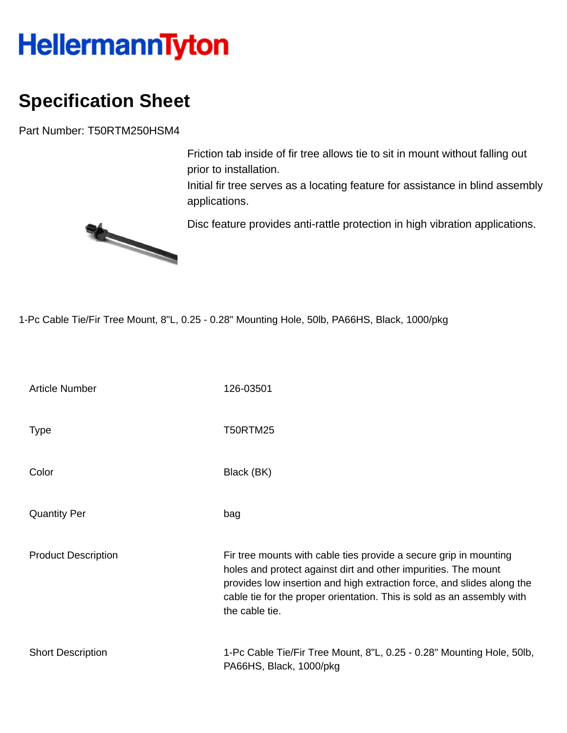## **HellermannTyton**

## **Specification Sheet**

Part Number: T50RTM250HSM4

Friction tab inside of fir tree allows tie to sit in mount without falling out prior to installation.

Initial fir tree serves as a locating feature for assistance in blind assembly applications.

Disc feature provides anti-rattle protection in high vibration applications.



1-Pc Cable Tie/Fir Tree Mount, 8"L, 0.25 - 0.28" Mounting Hole, 50lb, PA66HS, Black, 1000/pkg

| <b>Article Number</b>      | 126-03501                                                                                                                                                                                                                                                                                                 |
|----------------------------|-----------------------------------------------------------------------------------------------------------------------------------------------------------------------------------------------------------------------------------------------------------------------------------------------------------|
| <b>Type</b>                | <b>T50RTM25</b>                                                                                                                                                                                                                                                                                           |
| Color                      | Black (BK)                                                                                                                                                                                                                                                                                                |
| <b>Quantity Per</b>        | bag                                                                                                                                                                                                                                                                                                       |
| <b>Product Description</b> | Fir tree mounts with cable ties provide a secure grip in mounting<br>holes and protect against dirt and other impurities. The mount<br>provides low insertion and high extraction force, and slides along the<br>cable tie for the proper orientation. This is sold as an assembly with<br>the cable tie. |
| <b>Short Description</b>   | 1-Pc Cable Tie/Fir Tree Mount, 8"L, 0.25 - 0.28" Mounting Hole, 50lb,<br>PA66HS, Black, 1000/pkg                                                                                                                                                                                                          |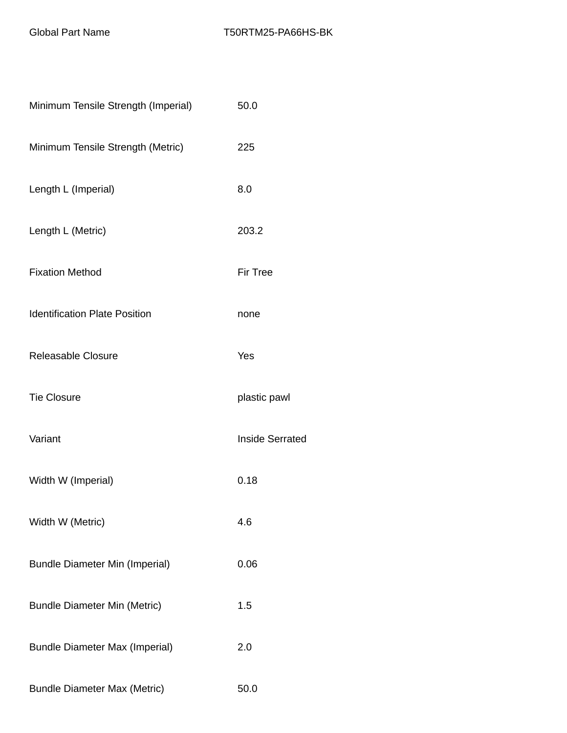| Minimum Tensile Strength (Imperial)   | 50.0                   |
|---------------------------------------|------------------------|
| Minimum Tensile Strength (Metric)     | 225                    |
| Length L (Imperial)                   | 8.0                    |
| Length L (Metric)                     | 203.2                  |
| <b>Fixation Method</b>                | <b>Fir Tree</b>        |
| <b>Identification Plate Position</b>  | none                   |
| <b>Releasable Closure</b>             | Yes                    |
| <b>Tie Closure</b>                    | plastic pawl           |
| Variant                               | <b>Inside Serrated</b> |
| Width W (Imperial)                    | 0.18                   |
| Width W (Metric)                      | 4.6                    |
| <b>Bundle Diameter Min (Imperial)</b> | 0.06                   |
| <b>Bundle Diameter Min (Metric)</b>   | 1.5                    |
| <b>Bundle Diameter Max (Imperial)</b> | 2.0                    |
| <b>Bundle Diameter Max (Metric)</b>   | 50.0                   |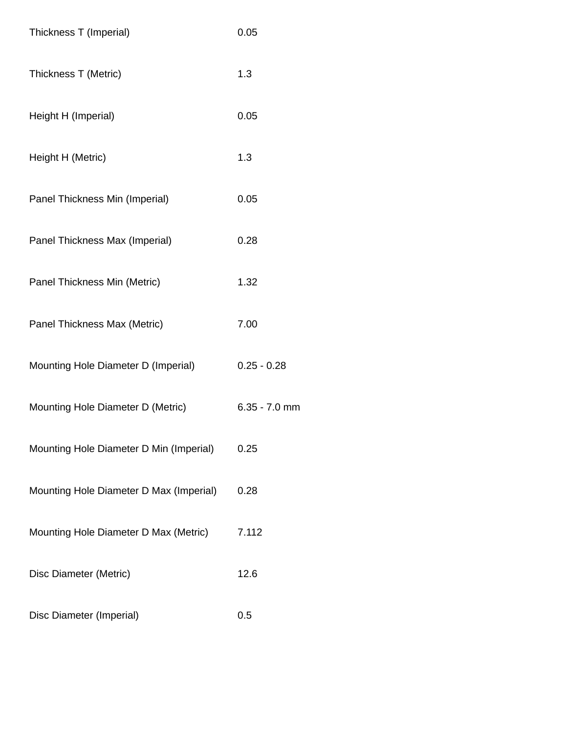| Thickness T (Imperial)                  | 0.05            |
|-----------------------------------------|-----------------|
| Thickness T (Metric)                    | 1.3             |
| Height H (Imperial)                     | 0.05            |
| Height H (Metric)                       | 1.3             |
| Panel Thickness Min (Imperial)          | 0.05            |
| Panel Thickness Max (Imperial)          | 0.28            |
| Panel Thickness Min (Metric)            | 1.32            |
| Panel Thickness Max (Metric)            | 7.00            |
| Mounting Hole Diameter D (Imperial)     | $0.25 - 0.28$   |
| Mounting Hole Diameter D (Metric)       | $6.35 - 7.0$ mm |
| Mounting Hole Diameter D Min (Imperial) | 0.25            |
| Mounting Hole Diameter D Max (Imperial) | 0.28            |
| Mounting Hole Diameter D Max (Metric)   | 7.112           |
| Disc Diameter (Metric)                  | 12.6            |
| Disc Diameter (Imperial)                | 0.5             |